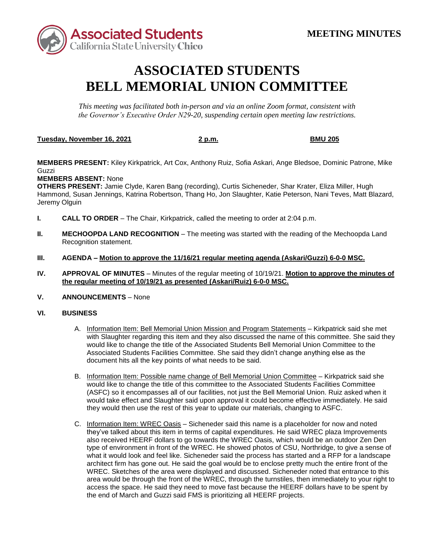

## **ASSOCIATED STUDENTS BELL MEMORIAL UNION COMMITTEE**

*This meeting was facilitated both in-person and via an online Zoom format, consistent with the Governor's Executive Order N29-20, suspending certain open meeting law restrictions.* 

## **Tuesday, November 16, 2021 2 p.m. BMU 205**

**MEMBERS PRESENT:** Kiley Kirkpatrick, Art Cox, Anthony Ruiz, Sofia Askari, Ange Bledsoe, Dominic Patrone, Mike Guzzi

**MEMBERS ABSENT:** None

**OTHERS PRESENT:** Jamie Clyde, Karen Bang (recording), Curtis Sicheneder, Shar Krater, Eliza Miller, Hugh Hammond, Susan Jennings, Katrina Robertson, Thang Ho, Jon Slaughter, Katie Peterson, Nani Teves, Matt Blazard, Jeremy Olguin

- **I. CALL TO ORDER**  The Chair, Kirkpatrick, called the meeting to order at 2:04 p.m.
- **II. MECHOOPDA LAND RECOGNITION** The meeting was started with the reading of the Mechoopda Land Recognition statement.
- **III. AGENDA – Motion to approve the 11/16/21 regular meeting agenda (Askari/Guzzi) 6-0-0 MSC.**
- **IV. APPROVAL OF MINUTES**  Minutes of the regular meeting of 10/19/21. **Motion to approve the minutes of the regular meeting of 10/19/21 as presented (Askari/Ruiz) 6-0-0 MSC.**

## **V.** ANNOUNCEMENTS – None

## **VI. BUSINESS**

- Associated Students Facilities Committee. She said they didn't change anything else as the document hits all the key points of what needs to be said. A. Information Item: Bell Memorial Union Mission and Program Statements – Kirkpatrick said she met with Slaughter regarding this item and they also discussed the name of this committee. She said they would like to change the title of the Associated Students Bell Memorial Union Committee to the
- B. Information Item: Possible name change of Bell Memorial Union Committee Kirkpatrick said she would like to change the title of this committee to the Associated Students Facilities Committee (ASFC) so it encompasses all of our facilities, not just the Bell Memorial Union. Ruiz asked when it would take effect and Slaughter said upon approval it could become effective immediately. He said they would then use the rest of this year to update our materials, changing to ASFC.
- also received HEERF dollars to go towards the WREC Oasis, which would be an outdoor Zen Den architect firm has gone out. He said the goal would be to enclose pretty much the entire front of the the end of March and Guzzi said FMS is prioritizing all HEERF projects. C. Information Item: WREC Oasis – Sicheneder said this name is a placeholder for now and noted they've talked about this item in terms of capital expenditures. He said WREC plaza Improvements type of environment in front of the WREC. He showed photos of CSU, Northridge, to give a sense of what it would look and feel like. Sicheneder said the process has started and a RFP for a landscape WREC. Sketches of the area were displayed and discussed. Sicheneder noted that entrance to this area would be through the front of the WREC, through the turnstiles, then immediately to your right to access the space. He said they need to move fast because the HEERF dollars have to be spent by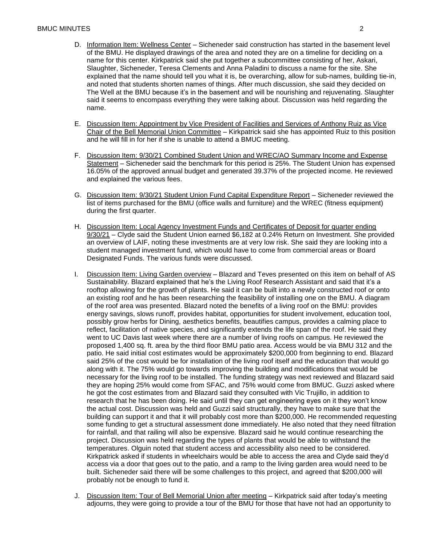- of the BMU. He displayed drawings of the area and noted they are on a timeline for deciding on a and noted that students shorten names of things. After much discussion, she said they decided on The Well at the BMU because it's in the basement and will be nourishing and rejuvenating. Slaughter said it seems to encompass everything they were talking about. Discussion was held regarding the D. Information Item: Wellness Center – Sicheneder said construction has started in the basement level name for this center. Kirkpatrick said she put together a subcommittee consisting of her, Askari, Slaughter, Sicheneder, Teresa Clements and Anna Paladini to discuss a name for the site. She explained that the name should tell you what it is, be overarching, allow for sub-names, building tie-in, name.
- E. Discussion Item: Appointment by Vice President of Facilities and Services of Anthony Ruiz as Vice Chair of the Bell Memorial Union Committee – Kirkpatrick said she has appointed Ruiz to this position and he will fill in for her if she is unable to attend a BMUC meeting.
- F. Discussion Item: 9/30/21 Combined Student Union and WREC/AO Summary Income and Expense Statement – Sicheneder said the benchmark for this period is 25%. The Student Union has expensed 16.05% of the approved annual budget and generated 39.37% of the projected income. He reviewed and explained the various fees.
- G. Discussion Item: 9/30/21 Student Union Fund Capital Expenditure Report Sicheneder reviewed the list of items purchased for the BMU (office walls and furniture) and the WREC (fitness equipment) during the first quarter.
- H. Discussion Item: Local Agency Investment Funds and Certificates of Deposit for quarter ending 9/30/21 – Clyde said the Student Union earned \$6,182 at 0.24% Return on Investment. She provided an overview of LAIF, noting these investments are at very low risk. She said they are looking into a student managed investment fund, which would have to come from commercial areas or Board Designated Funds. The various funds were discussed.
- I. Discussion Item: Living Garden overview Blazard and Teves presented on this item on behalf of AS research that he has been doing. He said until they can get engineering eyes on it they won't know project. Discussion was held regarding the types of plants that would be able to withstand the access via a door that goes out to the patio, and a ramp to the living garden area would need to be built. Sicheneder said there will be some challenges to this project, and agreed that \$200,000 will Sustainability. Blazard explained that he's the Living Roof Research Assistant and said that it's a rooftop allowing for the growth of plants. He said it can be built into a newly constructed roof or onto an existing roof and he has been researching the feasibility of installing one on the BMU. A diagram of the roof area was presented. Blazard noted the benefits of a living roof on the BMU: provides energy savings, slows runoff, provides habitat, opportunities for student involvement, education tool, possibly grow herbs for Dining, aesthetics benefits, beautifies campus, provides a calming place to reflect, facilitation of native species, and significantly extends the life span of the roof. He said they went to UC Davis last week where there are a number of living roofs on campus. He reviewed the proposed 1,400 sq. ft. area by the third floor BMU patio area. Access would be via BMU 312 and the patio. He said initial cost estimates would be approximately \$200,000 from beginning to end. Blazard said 25% of the cost would be for installation of the living roof itself and the education that would go along with it. The 75% would go towards improving the building and modifications that would be necessary for the living roof to be installed. The funding strategy was next reviewed and Blazard said they are hoping 25% would come from SFAC, and 75% would come from BMUC. Guzzi asked where he got the cost estimates from and Blazard said they consulted with Vic Trujillo, in addition to the actual cost. Discussion was held and Guzzi said structurally, they have to make sure that the building can support it and that it will probably cost more than \$200,000. He recommended requesting some funding to get a structural assessment done immediately. He also noted that they need filtration for rainfall, and that railing will also be expensive. Blazard said he would continue researching the temperatures. Olguin noted that student access and accessibility also need to be considered. Kirkpatrick asked if students in wheelchairs would be able to access the area and Clyde said they'd probably not be enough to fund it.
- J. Discussion Item: Tour of Bell Memorial Union after meeting Kirkpatrick said after today's meeting adjourns, they were going to provide a tour of the BMU for those that have not had an opportunity to